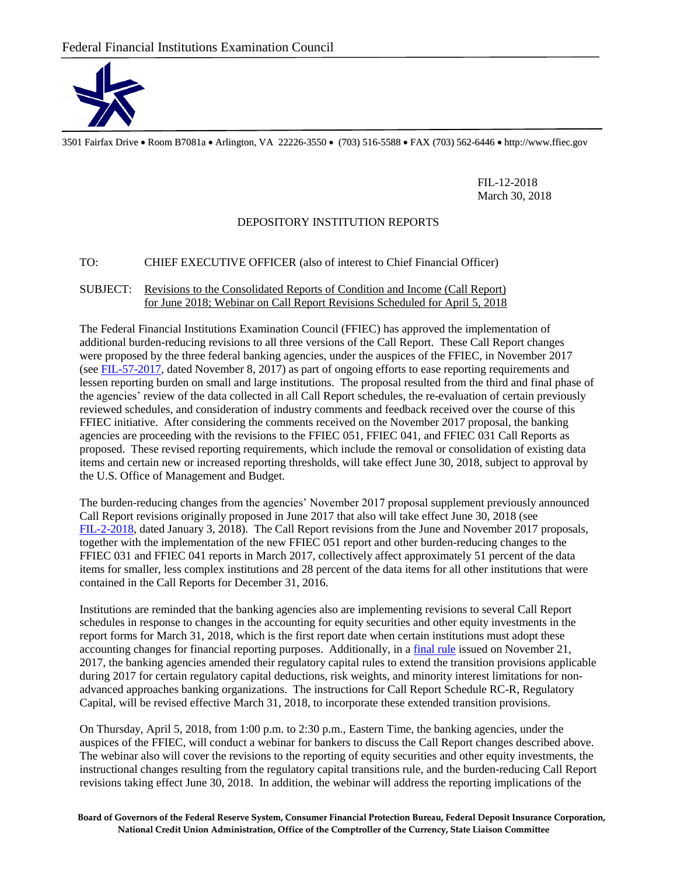

3501 Fairfax Drive Room B7081a Arlington, VA 22226-3550 (703) 516-5588 FAX (703) 562-6446 http://www.ffiec.gov

FIL-12-2018 March 30, 2018

## DEPOSITORY INSTITUTION REPORTS

## TO: CHIEF EXECUTIVE OFFICER (also of interest to Chief Financial Officer)

## SUBJECT: Revisions to the Consolidated Reports of Condition and Income (Call Report) for June 2018; Webinar on Call Report Revisions Scheduled for April 5, 2018

The Federal Financial Institutions Examination Council (FFIEC) has approved the implementation of additional burden-reducing revisions to all three versions of the Call Report. These Call Report changes were proposed by the three federal banking agencies, under the auspices of the FFIEC, in November 2017 (see [FIL-57-2017,](https://www.fdic.gov/news/news/financial/2017/fil17057.html) dated November 8, 2017) as part of ongoing efforts to ease reporting requirements and lessen reporting burden on small and large institutions. The proposal resulted from the third and final phase of the agencies' review of the data collected in all Call Report schedules, the re-evaluation of certain previously reviewed schedules, and consideration of industry comments and feedback received over the course of this FFIEC initiative. After considering the comments received on the November 2017 proposal, the banking agencies are proceeding with the revisions to the FFIEC 051, FFIEC 041, and FFIEC 031 Call Reports as proposed. These revised reporting requirements, which include the removal or consolidation of existing data items and certain new or increased reporting thresholds, will take effect June 30, 2018, subject to approval by the U.S. Office of Management and Budget.

The burden-reducing changes from the agencies' November 2017 proposal supplement previously announced Call Report revisions originally proposed in June 2017 that also will take effect June 30, 2018 (see [FIL-2-2018,](https://www.fdic.gov/news/news/financial/2018/fil18002.html) dated January 3, 2018). The Call Report revisions from the June and November 2017 proposals, together with the implementation of the new FFIEC 051 report and other burden-reducing changes to the FFIEC 031 and FFIEC 041 reports in March 2017, collectively affect approximately 51 percent of the data items for smaller, less complex institutions and 28 percent of the data items for all other institutions that were contained in the Call Reports for December 31, 2016.

Institutions are reminded that the banking agencies also are implementing revisions to several Call Report schedules in response to changes in the accounting for equity securities and other equity investments in the report forms for March 31, 2018, which is the first report date when certain institutions must adopt these accounting changes for financial reporting purposes. Additionally, in a [final rule](https://www.gpo.gov/fdsys/pkg/FR-2017-11-21/pdf/2017-25172.pdf) issued on November 21, 2017, the banking agencies amended their regulatory capital rules to extend the transition provisions applicable during 2017 for certain regulatory capital deductions, risk weights, and minority interest limitations for nonadvanced approaches banking organizations. The instructions for Call Report Schedule RC-R, Regulatory Capital, will be revised effective March 31, 2018, to incorporate these extended transition provisions.

On Thursday, April 5, 2018, from 1:00 p.m. to 2:30 p.m., Eastern Time, the banking agencies, under the auspices of the FFIEC, will conduct a webinar for bankers to discuss the Call Report changes described above. The webinar also will cover the revisions to the reporting of equity securities and other equity investments, the instructional changes resulting from the regulatory capital transitions rule, and the burden-reducing Call Report revisions taking effect June 30, 2018. In addition, the webinar will address the reporting implications of the